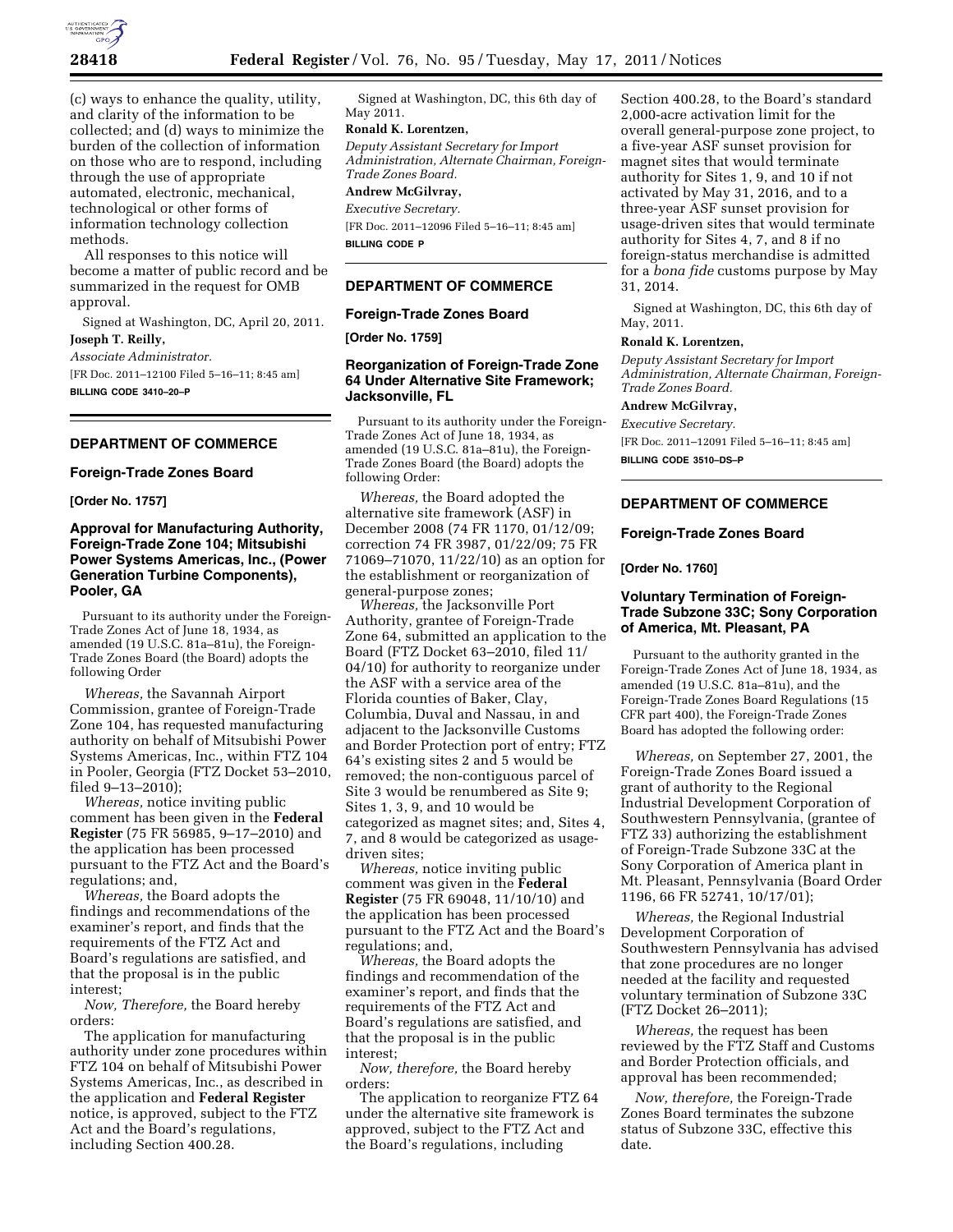

(c) ways to enhance the quality, utility, and clarity of the information to be collected; and (d) ways to minimize the burden of the collection of information on those who are to respond, including through the use of appropriate automated, electronic, mechanical, technological or other forms of information technology collection methods.

All responses to this notice will become a matter of public record and be summarized in the request for OMB approval.

Signed at Washington, DC, April 20, 2011. **Joseph T. Reilly,** 

*Associate Administrator.* 

[FR Doc. 2011–12100 Filed 5–16–11; 8:45 am] **BILLING CODE 3410–20–P** 

# **DEPARTMENT OF COMMERCE**

### **Foreign-Trade Zones Board**

**[Order No. 1757]** 

# **Approval for Manufacturing Authority, Foreign-Trade Zone 104; Mitsubishi Power Systems Americas, Inc., (Power Generation Turbine Components), Pooler, GA**

Pursuant to its authority under the Foreign-Trade Zones Act of June 18, 1934, as amended (19 U.S.C. 81a–81u), the Foreign-Trade Zones Board (the Board) adopts the following Order

*Whereas,* the Savannah Airport Commission, grantee of Foreign-Trade Zone 104, has requested manufacturing authority on behalf of Mitsubishi Power Systems Americas, Inc., within FTZ 104 in Pooler, Georgia (FTZ Docket 53–2010, filed 9–13–2010);

*Whereas,* notice inviting public comment has been given in the **Federal Register** (75 FR 56985, 9–17–2010) and the application has been processed pursuant to the FTZ Act and the Board's regulations; and,

*Whereas,* the Board adopts the findings and recommendations of the examiner's report, and finds that the requirements of the FTZ Act and Board's regulations are satisfied, and that the proposal is in the public interest;

*Now, Therefore,* the Board hereby orders:

The application for manufacturing authority under zone procedures within FTZ 104 on behalf of Mitsubishi Power Systems Americas, Inc., as described in the application and **Federal Register**  notice, is approved, subject to the FTZ Act and the Board's regulations, including Section 400.28.

Signed at Washington, DC, this 6th day of May 2011.

## **Ronald K. Lorentzen,**

*Deputy Assistant Secretary for Import Administration, Alternate Chairman, Foreign-Trade Zones Board.* 

**Andrew McGilvray,** 

*Executive Secretary.*  [FR Doc. 2011–12096 Filed 5–16–11; 8:45 am]

**BILLING CODE P** 

### **DEPARTMENT OF COMMERCE**

### **Foreign-Trade Zones Board**

**[Order No. 1759]** 

## **Reorganization of Foreign-Trade Zone 64 Under Alternative Site Framework; Jacksonville, FL**

Pursuant to its authority under the Foreign-Trade Zones Act of June 18, 1934, as amended (19 U.S.C. 81a–81u), the Foreign-Trade Zones Board (the Board) adopts the following Order:

*Whereas,* the Board adopted the alternative site framework (ASF) in December 2008 (74 FR 1170, 01/12/09; correction 74 FR 3987, 01/22/09; 75 FR 71069–71070, 11/22/10) as an option for the establishment or reorganization of general-purpose zones;

*Whereas,* the Jacksonville Port Authority, grantee of Foreign-Trade Zone 64, submitted an application to the Board (FTZ Docket 63–2010, filed 11/ 04/10) for authority to reorganize under the ASF with a service area of the Florida counties of Baker, Clay, Columbia, Duval and Nassau, in and adjacent to the Jacksonville Customs and Border Protection port of entry; FTZ 64's existing sites 2 and 5 would be removed; the non-contiguous parcel of Site 3 would be renumbered as Site 9; Sites 1, 3, 9, and 10 would be categorized as magnet sites; and, Sites 4, 7, and 8 would be categorized as usagedriven sites;

*Whereas,* notice inviting public comment was given in the **Federal Register** (75 FR 69048, 11/10/10) and the application has been processed pursuant to the FTZ Act and the Board's regulations; and,

*Whereas,* the Board adopts the findings and recommendation of the examiner's report, and finds that the requirements of the FTZ Act and Board's regulations are satisfied, and that the proposal is in the public interest;

*Now, therefore,* the Board hereby orders:

The application to reorganize FTZ 64 under the alternative site framework is approved, subject to the FTZ Act and the Board's regulations, including

Section 400.28, to the Board's standard 2,000-acre activation limit for the overall general-purpose zone project, to a five-year ASF sunset provision for magnet sites that would terminate authority for Sites 1, 9, and 10 if not activated by May 31, 2016, and to a three-year ASF sunset provision for usage-driven sites that would terminate authority for Sites 4, 7, and 8 if no foreign-status merchandise is admitted for a *bona fide* customs purpose by May 31, 2014.

Signed at Washington, DC, this 6th day of May, 2011.

# **Ronald K. Lorentzen,**

*Deputy Assistant Secretary for Import Administration, Alternate Chairman, Foreign-Trade Zones Board.* 

## **Andrew McGilvray,**

*Executive Secretary.* 

[FR Doc. 2011–12091 Filed 5–16–11; 8:45 am]

**BILLING CODE 3510–DS–P** 

## **DEPARTMENT OF COMMERCE**

#### **Foreign-Trade Zones Board**

#### **[Order No. 1760]**

# **Voluntary Termination of Foreign-Trade Subzone 33C; Sony Corporation of America, Mt. Pleasant, PA**

Pursuant to the authority granted in the Foreign-Trade Zones Act of June 18, 1934, as amended (19 U.S.C. 81a–81u), and the Foreign-Trade Zones Board Regulations (15 CFR part 400), the Foreign-Trade Zones Board has adopted the following order:

*Whereas,* on September 27, 2001, the Foreign-Trade Zones Board issued a grant of authority to the Regional Industrial Development Corporation of Southwestern Pennsylvania, (grantee of FTZ 33) authorizing the establishment of Foreign-Trade Subzone 33C at the Sony Corporation of America plant in Mt. Pleasant, Pennsylvania (Board Order 1196, 66 FR 52741, 10/17/01);

*Whereas,* the Regional Industrial Development Corporation of Southwestern Pennsylvania has advised that zone procedures are no longer needed at the facility and requested voluntary termination of Subzone 33C (FTZ Docket 26–2011);

*Whereas,* the request has been reviewed by the FTZ Staff and Customs and Border Protection officials, and approval has been recommended;

*Now, therefore,* the Foreign-Trade Zones Board terminates the subzone status of Subzone 33C, effective this date.